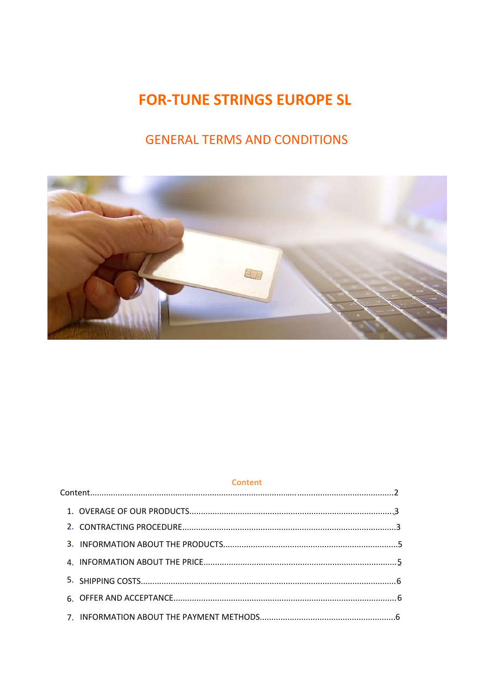# **FOR-TUNE STRINGS EUROPE SL**

# **GENERAL TERMS AND CONDITIONS**



| <b>Content</b> |  |
|----------------|--|
|                |  |
|                |  |
|                |  |
|                |  |
|                |  |
|                |  |
|                |  |
|                |  |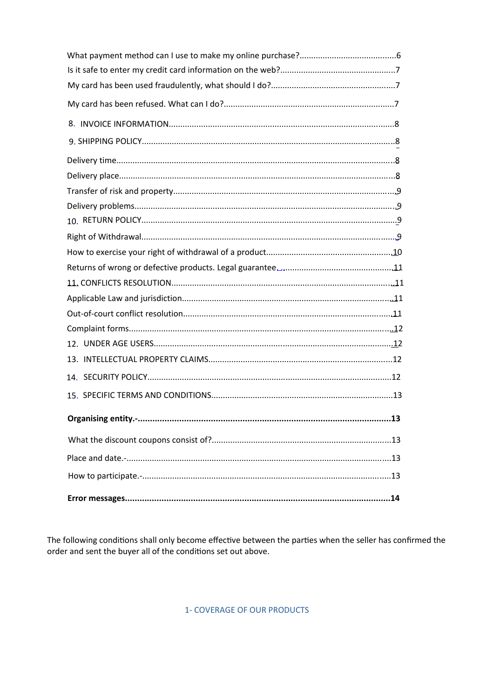| Organising entity.-<br>13 |  |  |
|---------------------------|--|--|
|                           |  |  |
|                           |  |  |
|                           |  |  |
|                           |  |  |

The following conditions shall only become effective between the parties when the seller has confirmed the order and sent the buyer all of the conditions set out above.

1- COVERAGE OF OUR PRODUCTS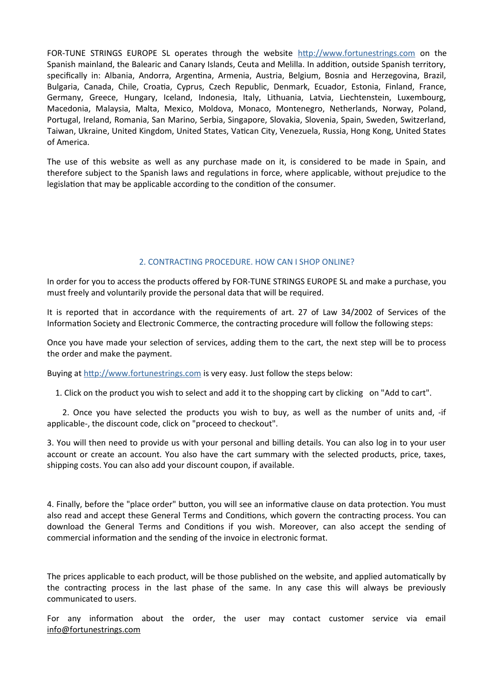FOR-TUNE STRINGS EUROPE SL operates through the website [http://www.fortunestrings.com](http://www.fortunestrings.com/) on the Spanish mainland, the Balearic and Canary Islands, Ceuta and Melilla. In addition, outside Spanish territory, specifically in: Albania, Andorra, Argentina, Armenia, Austria, Belgium, Bosnia and Herzegovina, Brazil, Bulgaria, Canada, Chile, Croatia, Cyprus, Czech Republic, Denmark, Ecuador, Estonia, Finland, France, Germany, Greece, Hungary, Iceland, Indonesia, Italy, Lithuania, Latvia, Liechtenstein, Luxembourg, Macedonia, Malaysia, Malta, Mexico, Moldova, Monaco, Montenegro, Netherlands, Norway, Poland, Portugal, Ireland, Romania, San Marino, Serbia, Singapore, Slovakia, Slovenia, Spain, Sweden, Switzerland, Taiwan, Ukraine, United Kingdom, United States, Vatican City, Venezuela, Russia, Hong Kong, United States of America.

The use of this website as well as any purchase made on it, is considered to be made in Spain, and therefore subject to the Spanish laws and regulations in force, where applicable, without prejudice to the legislation that may be applicable according to the condition of the consumer.

## 2. CONTRACTING PROCEDURE. HOW CAN I SHOP ONLINE?

In order for you to access the products offered by FOR-TUNE STRINGS EUROPE SL and make a purchase, you must freely and voluntarily provide the personal data that will be required.

It is reported that in accordance with the requirements of art. 27 of Law 34/2002 of Services of the Information Society and Electronic Commerce, the contracting procedure will follow the following steps:

Once you have made your selection of services, adding them to the cart, the next step will be to process the order and make the payment.

Buying at [http://www.fortunestrings.com](http://www.fortunestrings.com/) is very easy. Just follow the steps below:

1. Click on the product you wish to select and add it to the shopping cart by clicking on "Add to cart".

2. Once you have selected the products you wish to buy, as well as the number of units and, -if applicable-, the discount code, click on "proceed to checkout".

3. You will then need to provide us with your personal and billing details. You can also log in to your user account or create an account. You also have the cart summary with the selected products, price, taxes, shipping costs. You can also add your discount coupon, if available.

4. Finally, before the "place order" button, you will see an informative clause on data protection. You must also read and accept these General Terms and Conditions, which govern the contracting process. You can download the General Terms and Conditions if you wish. Moreover, can also accept the sending of commercial information and the sending of the invoice in electronic format.

The prices applicable to each product, will be those published on the website, and applied automatically by the contracting process in the last phase of the same. In any case this will always be previously communicated to users.

For any information about the order, the user may contact customer service via email [info@fortunestrings.com](mailto:info@fortunestrings.com)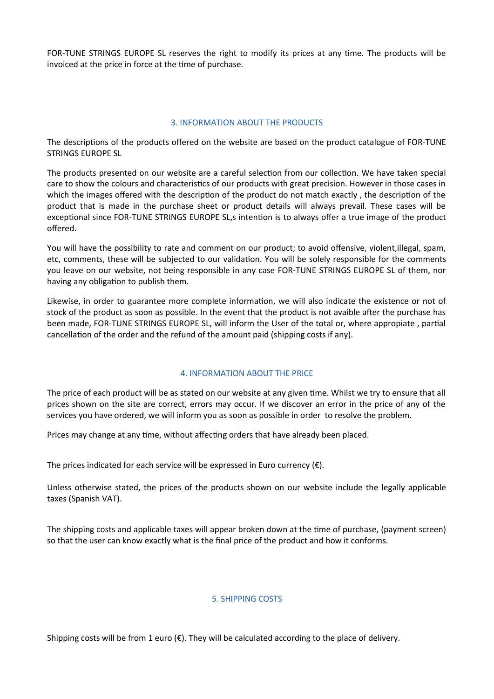FOR-TUNE STRINGS EUROPE SL reserves the right to modify its prices at any time. The products will be invoiced at the price in force at the time of purchase.

## 3. INFORMATION ABOUT THE PRODUCTS

The descriptions of the products offered on the website are based on the product catalogue of FOR-TUNE STRINGS EUROPE SL

The products presented on our website are a careful selection from our collection. We have taken special care to show the colours and characteristics of our products with great precision. However in those cases in which the images offered with the description of the product do not match exactly , the description of the product that is made in the purchase sheet or product details will always prevail. These cases will be exceptional since FOR-TUNE STRINGS EUROPE SL,s intention is to always offer a true image of the product offered.

You will have the possibility to rate and comment on our product; to avoid offensive, violent,illegal, spam, etc, comments, these will be subjected to our validation. You will be solely responsible for the comments you leave on our website, not being responsible in any case FOR-TUNE STRINGS EUROPE SL of them, nor having any obligation to publish them.

Likewise, in order to guarantee more complete information, we will also indicate the existence or not of stock of the product as soon as possible. In the event that the product is not avaible after the purchase has been made, FOR-TUNE STRINGS EUROPE SL, will inform the User of the total or, where appropiate , partial cancellation of the order and the refund of the amount paid (shipping costs if any).

# 4. INFORMATION ABOUT THE PRICE

The price of each product will be as stated on our website at any given time. Whilst we try to ensure that all prices shown on the site are correct, errors may occur. If we discover an error in the price of any of the services you have ordered, we will inform you as soon as possible in order to resolve the problem.

Prices may change at any time, without affecting orders that have already been placed.

The prices indicated for each service will be expressed in Euro currency  $(\epsilon)$ .

Unless otherwise stated, the prices of the products shown on our website include the legally applicable taxes (Spanish VAT).

The shipping costs and applicable taxes will appear broken down at the time of purchase, (payment screen) so that the user can know exactly what is the final price of the product and how it conforms.

# 5. SHIPPING COSTS

Shipping costs will be from 1 euro  $(\epsilon)$ . They will be calculated according to the place of delivery.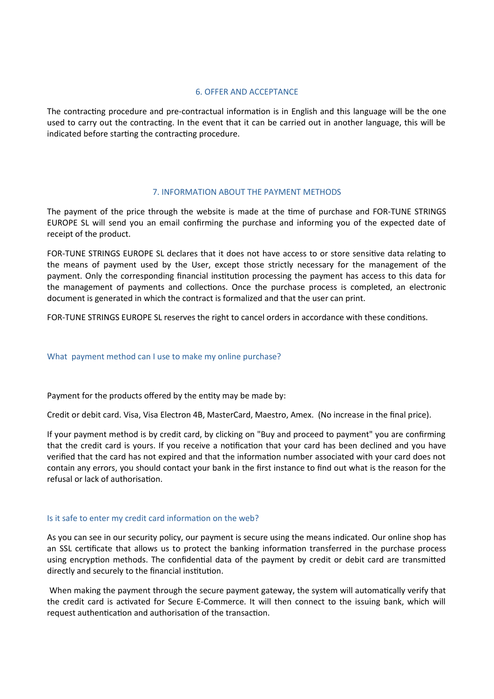## 6. OFFER AND ACCEPTANCE

The contracting procedure and pre-contractual information is in English and this language will be the one used to carry out the contracting. In the event that it can be carried out in another language, this will be indicated before starting the contracting procedure.

## 7. INFORMATION ABOUT THE PAYMENT METHODS

The payment of the price through the website is made at the time of purchase and FOR-TUNE STRINGS EUROPE SL will send you an email confirming the purchase and informing you of the expected date of receipt of the product.

FOR-TUNE STRINGS EUROPE SL declares that it does not have access to or store sensitive data relating to the means of payment used by the User, except those strictly necessary for the management of the payment. Only the corresponding financial institution processing the payment has access to this data for the management of payments and collections. Once the purchase process is completed, an electronic document is generated in which the contract is formalized and that the user can print.

FOR-TUNE STRINGS EUROPE SL reserves the right to cancel orders in accordance with these conditions.

## What payment method can I use to make my online purchase?

Payment for the products offered by the entity may be made by:

Credit or debit card. Visa, Visa Electron 4B, MasterCard, Maestro, Amex. (No increase in the final price).

If your payment method is by credit card, by clicking on "Buy and proceed to payment" you are confirming that the credit card is yours. If you receive a notification that your card has been declined and you have verified that the card has not expired and that the information number associated with your card does not contain any errors, you should contact your bank in the first instance to find out what is the reason for the refusal or lack of authorisation.

## Is it safe to enter my credit card information on the web?

As you can see in our security policy, our payment is secure using the means indicated. Our online shop has an SSL certificate that allows us to protect the banking information transferred in the purchase process using encryption methods. The confidential data of the payment by credit or debit card are transmitted directly and securely to the financial institution.

 When making the payment through the secure payment gateway, the system will automatically verify that the credit card is activated for Secure E-Commerce. It will then connect to the issuing bank, which will request authentication and authorisation of the transaction.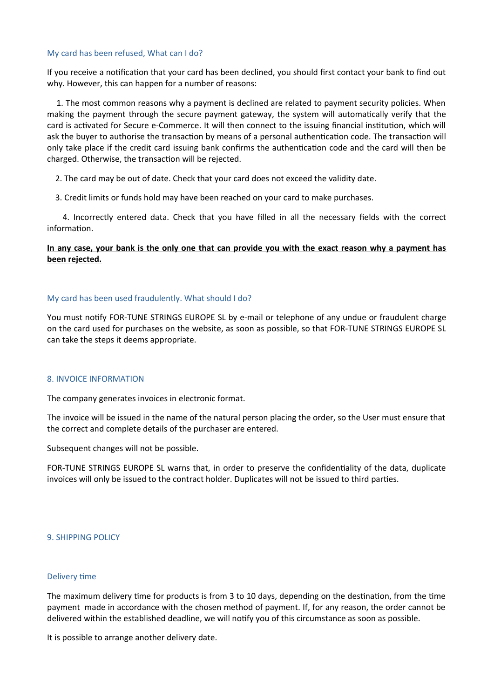## My card has been refused, What can I do?

If you receive a notification that your card has been declined, you should first contact your bank to find out why. However, this can happen for a number of reasons:

1. The most common reasons why a payment is declined are related to payment security policies. When making the payment through the secure payment gateway, the system will automatically verify that the card is activated for Secure e-Commerce. It will then connect to the issuing financial institution, which will ask the buyer to authorise the transaction by means of a personal authentication code. The transaction will only take place if the credit card issuing bank confirms the authentication code and the card will then be charged. Otherwise, the transaction will be rejected.

2. The card may be out of date. Check that your card does not exceed the validity date.

3. Credit limits or funds hold may have been reached on your card to make purchases.

4. Incorrectly entered data. Check that you have filled in all the necessary fields with the correct information.

## **In any case, your bank is the only one that can provide you with the exact reason why a payment has been rejected.**

## My card has been used fraudulently. What should I do?

You must notify FOR-TUNE STRINGS EUROPE SL by e-mail or telephone of any undue or fraudulent charge on the card used for purchases on the website, as soon as possible, so that FOR-TUNE STRINGS EUROPE SL can take the steps it deems appropriate.

## 8. INVOICE INFORMATION

The company generates invoices in electronic format.

The invoice will be issued in the name of the natural person placing the order, so the User must ensure that the correct and complete details of the purchaser are entered.

Subsequent changes will not be possible.

FOR-TUNE STRINGS EUROPE SL warns that, in order to preserve the confidentiality of the data, duplicate invoices will only be issued to the contract holder. Duplicates will not be issued to third parties.

## 9. SHIPPING POLICY

## Delivery time

The maximum delivery time for products is from 3 to 10 days, depending on the destination, from the time payment made in accordance with the chosen method of payment. If, for any reason, the order cannot be delivered within the established deadline, we will notify you of this circumstance as soon as possible.

It is possible to arrange another delivery date.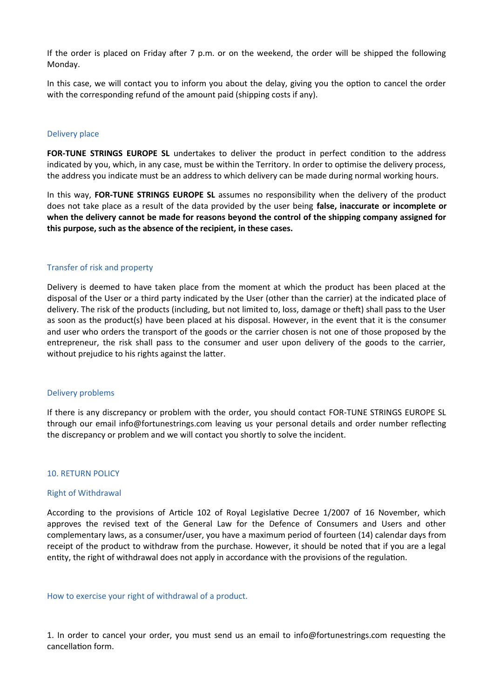If the order is placed on Friday after 7 p.m. or on the weekend, the order will be shipped the following Monday.

In this case, we will contact you to inform you about the delay, giving you the option to cancel the order with the corresponding refund of the amount paid (shipping costs if any).

#### Delivery place

**FOR-TUNE STRINGS EUROPE SL** undertakes to deliver the product in perfect condition to the address indicated by you, which, in any case, must be within the Territory. In order to optimise the delivery process, the address you indicate must be an address to which delivery can be made during normal working hours.

In this way, **FOR-TUNE STRINGS EUROPE SL** assumes no responsibility when the delivery of the product does not take place as a result of the data provided by the user being **false, inaccurate or incomplete or when the delivery cannot be made for reasons beyond the control of the shipping company assigned for this purpose, such as the absence of the recipient, in these cases.**

## Transfer of risk and property

Delivery is deemed to have taken place from the moment at which the product has been placed at the disposal of the User or a third party indicated by the User (other than the carrier) at the indicated place of delivery. The risk of the products (including, but not limited to, loss, damage or theft) shall pass to the User as soon as the product(s) have been placed at his disposal. However, in the event that it is the consumer and user who orders the transport of the goods or the carrier chosen is not one of those proposed by the entrepreneur, the risk shall pass to the consumer and user upon delivery of the goods to the carrier, without prejudice to his rights against the latter.

#### Delivery problems

If there is any discrepancy or problem with the order, you should contact FOR-TUNE STRINGS EUROPE SL through our email info@fortunestrings.com leaving us your personal details and order number reflecting the discrepancy or problem and we will contact you shortly to solve the incident.

#### 10. RETURN POLICY

#### Right of Withdrawal

According to the provisions of Article 102 of Royal Legislative Decree 1/2007 of 16 November, which approves the revised text of the General Law for the Defence of Consumers and Users and other complementary laws, as a consumer/user, you have a maximum period of fourteen (14) calendar days from receipt of the product to withdraw from the purchase. However, it should be noted that if you are a legal entity, the right of withdrawal does not apply in accordance with the provisions of the regulation.

#### How to exercise your right of withdrawal of a product.

1. In order to cancel your order, you must send us an email to info@fortunestrings.com requesting the cancellation form.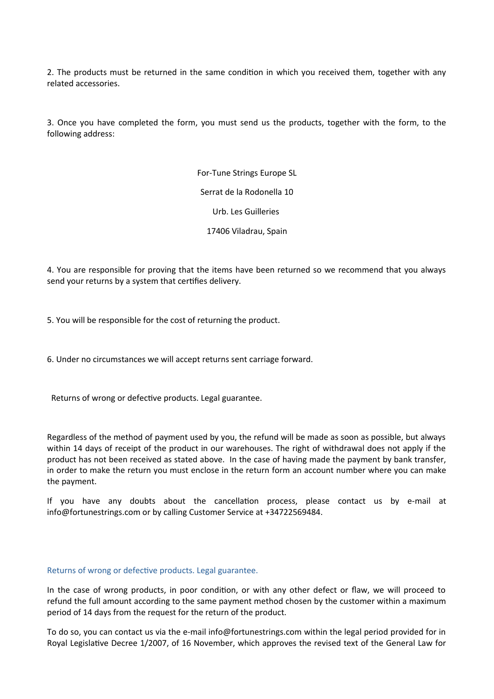2. The products must be returned in the same condition in which you received them, together with any related accessories.

3. Once you have completed the form, you must send us the products, together with the form, to the following address:

> For-Tune Strings Europe SL Serrat de la Rodonella 10 Urb. Les Guilleries 17406 Viladrau, Spain

4. You are responsible for proving that the items have been returned so we recommend that you always send your returns by a system that certifies delivery.

5. You will be responsible for the cost of returning the product.

6. Under no circumstances we will accept returns sent carriage forward.

Returns of wrong or defective products. Legal guarantee.

Regardless of the method of payment used by you, the refund will be made as soon as possible, but always within 14 days of receipt of the product in our warehouses. The right of withdrawal does not apply if the product has not been received as stated above. In the case of having made the payment by bank transfer, in order to make the return you must enclose in the return form an account number where you can make the payment.

If you have any doubts about the cancellation process, please contact us by e-mail at info@fortunestrings.com or by calling Customer Service at +34722569484.

## Returns of wrong or defective products. Legal guarantee.

In the case of wrong products, in poor condition, or with any other defect or flaw, we will proceed to refund the full amount according to the same payment method chosen by the customer within a maximum period of 14 days from the request for the return of the product.

To do so, you can contact us via the e-mail info@fortunestrings.com within the legal period provided for in Royal Legislative Decree 1/2007, of 16 November, which approves the revised text of the General Law for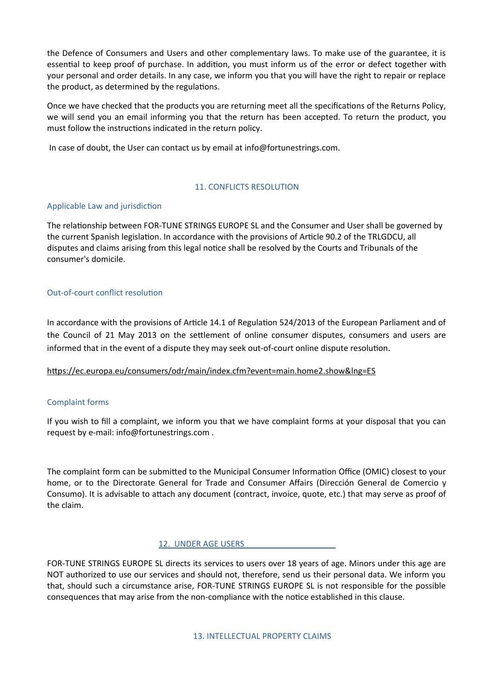the Defence of Consumers and Users and other complementary laws. To make use of the guarantee, it is essential to keep proof of purchase. In addition, you must inform us of the error or defect together with your personal and order details. In any case, we inform you that you will have the right to repair or replace the product, as determined by the regulations.

Once we have checked that the products you are returning meet all the specifications of the Returns Policy, we will send you an email informing you that the return has been accepted. To return the product, you must follow the instructions indicated in the return policy.

In case of doubt, the User can contact us by email at info@fortunestrings.com.

# 11. CONFLICTS RESOLUTION

# Applicable Law and jurisdiction

The relationship between FOR-TUNE STRINGS EUROPE SL and the Consumer and User shall be governed by the current Spanish legislation. In accordance with the provisions of Article 90.2 of the TRLGDCU, all disputes and claims arising from this legal notice shall be resolved by the Courts and Tribunals of the consumer's domicile.

## Out-of-court conflict resolution

In accordance with the provisions of Article 14.1 of Regulation 524/2013 of the European Parliament and of the Council of 21 May 2013 on the settlement of online consumer disputes, consumers and users are informed that in the event of a dispute they may seek out-of-court online dispute resolution.

# <https://ec.europa.eu/consumers/odr/main/index.cfm?event=main.home2.show&lng=ES>

## Complaint forms

If you wish to fill a complaint, we inform you that we have complaint forms at your disposal that you can request by e-mail: info@fortunestrings.com .

The complaint form can be submitted to the Municipal Consumer Information Office (OMIC) closest to your home, or to the Directorate General for Trade and Consumer Affairs (Dirección General de Comercio y Consumo). It is advisable to attach any document (contract, invoice, quote, etc.) that may serve as proof of the claim.

## 12. UNDER AGE USERS

FOR-TUNE STRINGS EUROPE SL directs its services to users over 18 years of age. Minors under this age are NOT authorized to use our services and should not, therefore, send us their personal data. We inform you that, should such a circumstance arise, FOR-TUNE STRINGS EUROPE SL is not responsible for the possible consequences that may arise from the non-compliance with the notice established in this clause.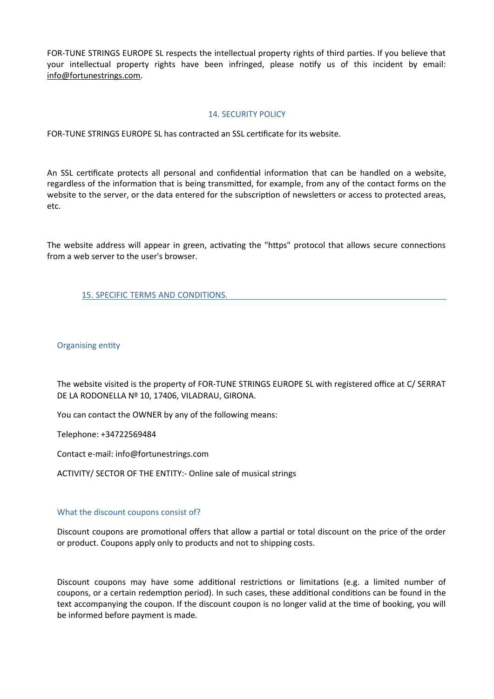FOR-TUNE STRINGS EUROPE SL respects the intellectual property rights of third parties. If you believe that your intellectual property rights have been infringed, please notify us of this incident by email: [info@fortunestrings.com](mailto:info@fortunestrings.com).

## 14. SECURITY POLICY

FOR-TUNE STRINGS EUROPE SL has contracted an SSL certificate for its website.

An SSL certificate protects all personal and confidential information that can be handled on a website, regardless of the information that is being transmitted, for example, from any of the contact forms on the website to the server, or the data entered for the subscription of newsletters or access to protected areas, etc.

The website address will appear in green, activating the "https" protocol that allows secure connections from a web server to the user's browser.

15. SPECIFIC TERMS AND CONDITIONS.

## Organising entity

The website visited is the property of FOR-TUNE STRINGS EUROPE SL with registered office at C/ SERRAT DE LA RODONELLA Nº 10, 17406, VILADRAU, GIRONA.

You can contact the OWNER by any of the following means:

Telephone: +34722569484

Contact e-mail: info@fortunestrings.com

ACTIVITY/ SECTOR OF THE ENTITY:- Online sale of musical strings

## What the discount coupons consist of?

Discount coupons are promotional offers that allow a partial or total discount on the price of the order or product. Coupons apply only to products and not to shipping costs.

Discount coupons may have some additional restrictions or limitations (e.g. a limited number of coupons, or a certain redemption period). In such cases, these additional conditions can be found in the text accompanying the coupon. If the discount coupon is no longer valid at the time of booking, you will be informed before payment is made.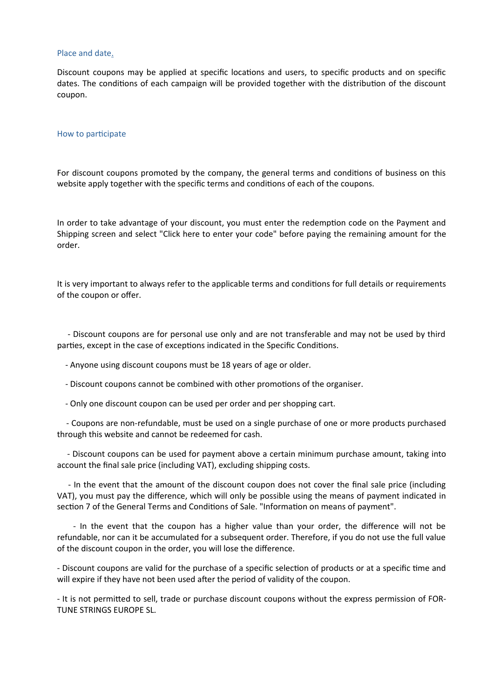#### Place and date.

Discount coupons may be applied at specific locations and users, to specific products and on specific dates. The conditions of each campaign will be provided together with the distribution of the discount coupon.

#### How to participate

For discount coupons promoted by the company, the general terms and conditions of business on this website apply together with the specific terms and conditions of each of the coupons.

In order to take advantage of your discount, you must enter the redemption code on the Payment and Shipping screen and select "Click here to enter your code" before paying the remaining amount for the order.

It is very important to always refer to the applicable terms and conditions for full details or requirements of the coupon or offer.

 - Discount coupons are for personal use only and are not transferable and may not be used by third parties, except in the case of exceptions indicated in the Specific Conditions.

- Anyone using discount coupons must be 18 years of age or older.
- Discount coupons cannot be combined with other promotions of the organiser.
- Only one discount coupon can be used per order and per shopping cart.

 - Coupons are non-refundable, must be used on a single purchase of one or more products purchased through this website and cannot be redeemed for cash.

 - Discount coupons can be used for payment above a certain minimum purchase amount, taking into account the final sale price (including VAT), excluding shipping costs.

 - In the event that the amount of the discount coupon does not cover the final sale price (including VAT), you must pay the difference, which will only be possible using the means of payment indicated in section 7 of the General Terms and Conditions of Sale. "Information on means of payment".

 - In the event that the coupon has a higher value than your order, the difference will not be refundable, nor can it be accumulated for a subsequent order. Therefore, if you do not use the full value of the discount coupon in the order, you will lose the difference.

- Discount coupons are valid for the purchase of a specific selection of products or at a specific time and will expire if they have not been used after the period of validity of the coupon.

- It is not permitted to sell, trade or purchase discount coupons without the express permission of FOR-TUNE STRINGS EUROPE SL.